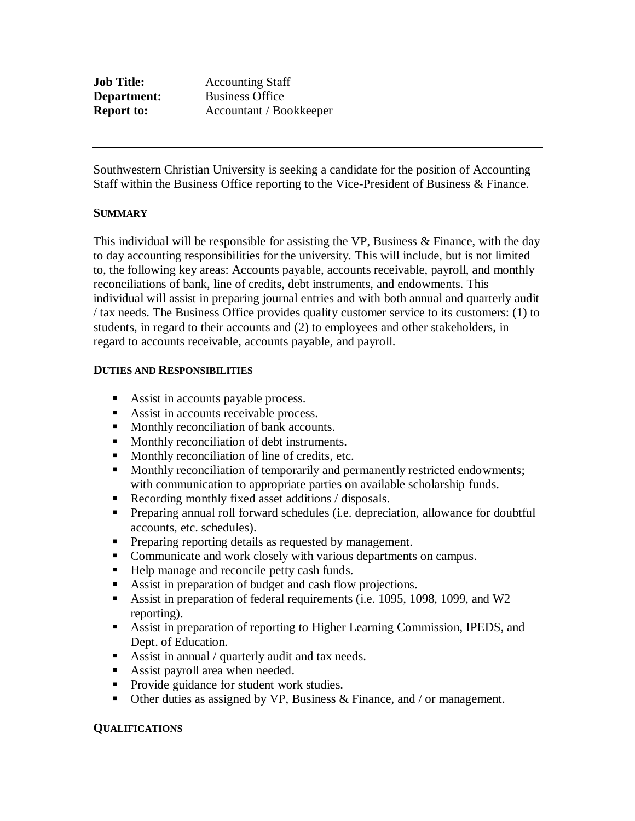| <b>Job Title:</b> | <b>Accounting Staff</b> |
|-------------------|-------------------------|
| Department:       | <b>Business Office</b>  |
| <b>Report to:</b> | Accountant / Bookkeeper |

Southwestern Christian University is seeking a candidate for the position of Accounting Staff within the Business Office reporting to the Vice-President of Business & Finance.

### **SUMMARY**

This individual will be responsible for assisting the VP, Business & Finance, with the day to day accounting responsibilities for the university. This will include, but is not limited to, the following key areas: Accounts payable, accounts receivable, payroll, and monthly reconciliations of bank, line of credits, debt instruments, and endowments. This individual will assist in preparing journal entries and with both annual and quarterly audit / tax needs. The Business Office provides quality customer service to its customers: (1) to students, in regard to their accounts and (2) to employees and other stakeholders, in regard to accounts receivable, accounts payable, and payroll.

#### **DUTIES AND RESPONSIBILITIES**

- Assist in accounts payable process.
- Assist in accounts receivable process.
- Monthly reconciliation of bank accounts.
- Monthly reconciliation of debt instruments.
- Monthly reconciliation of line of credits, etc.
- **Monthly reconciliation of temporarily and permanently restricted endowments;** with communication to appropriate parties on available scholarship funds.
- Recording monthly fixed asset additions / disposals.
- Preparing annual roll forward schedules (i.e. depreciation, allowance for doubtful accounts, etc. schedules).
- Preparing reporting details as requested by management.
- Communicate and work closely with various departments on campus.
- Help manage and reconcile petty cash funds.
- Assist in preparation of budget and cash flow projections.
- Assist in preparation of federal requirements (i.e. 1095, 1098, 1099, and W2 reporting).
- Assist in preparation of reporting to Higher Learning Commission, IPEDS, and Dept. of Education.
- Assist in annual / quarterly audit and tax needs.
- Assist payroll area when needed.
- Provide guidance for student work studies.
- **•** Other duties as assigned by VP, Business  $\&$  Finance, and / or management.

#### **QUALIFICATIONS**